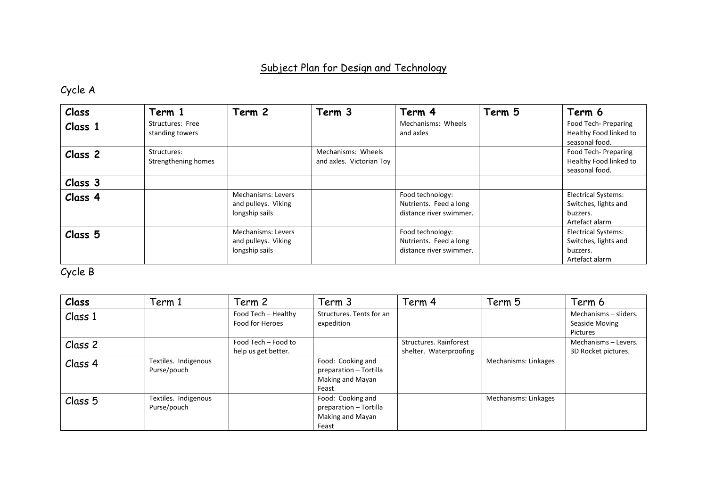## Subject Plan for Design and Technology

## Cycle A

| Class              | Term 1                              | Term 2                                                             | Term 3                                         | Term 4                                                                | Term 5 | Term 6                                                                           |
|--------------------|-------------------------------------|--------------------------------------------------------------------|------------------------------------------------|-----------------------------------------------------------------------|--------|----------------------------------------------------------------------------------|
| Class 1            | Structures: Free<br>standing towers |                                                                    |                                                | Mechanisms: Wheels<br>and axles                                       |        | Food Tech- Preparing<br>Healthy Food linked to<br>seasonal food.                 |
| Class <sub>2</sub> | Structures:<br>Strengthening homes  |                                                                    | Mechanisms: Wheels<br>and axles. Victorian Toy |                                                                       |        | Food Tech-Preparing<br>Healthy Food linked to<br>seasonal food.                  |
| Class 3            |                                     |                                                                    |                                                |                                                                       |        |                                                                                  |
| Class 4            |                                     | <b>Mechanisms: Levers</b><br>and pulleys. Viking<br>longship sails |                                                | Food technology:<br>Nutrients. Feed a long<br>distance river swimmer. |        | <b>Electrical Systems:</b><br>Switches, lights and<br>buzzers.<br>Artefact alarm |
| Class <sub>5</sub> |                                     | <b>Mechanisms: Levers</b><br>and pulleys. Viking<br>longship sails |                                                | Food technology:<br>Nutrients. Feed a long<br>distance river swimmer. |        | <b>Electrical Systems:</b><br>Switches, lights and<br>buzzers.<br>Artefact alarm |

## Cycle B

| Class   | Term 1               | Term 2              | Term 3                   | Term 4                 | Term 5               | Term 6                |
|---------|----------------------|---------------------|--------------------------|------------------------|----------------------|-----------------------|
| Class 1 |                      | Food Tech - Healthy | Structures. Tents for an |                        |                      | Mechanisms - sliders. |
|         |                      | Food for Heroes     | expedition               |                        |                      | Seaside Moving        |
|         |                      |                     |                          |                        |                      | Pictures              |
| Class 2 |                      | Food Tech - Food to |                          | Structures. Rainforest |                      | Mechanisms - Levers.  |
|         |                      | help us get better. |                          | shelter. Waterproofing |                      | 3D Rocket pictures.   |
| Class 4 | Textiles. Indigenous |                     | Food: Cooking and        |                        | Mechanisms: Linkages |                       |
|         | Purse/pouch          |                     | preparation - Tortilla   |                        |                      |                       |
|         |                      |                     | Making and Mayan         |                        |                      |                       |
|         |                      |                     | Feast                    |                        |                      |                       |
| Class 5 | Textiles. Indigenous |                     | Food: Cooking and        |                        | Mechanisms: Linkages |                       |
|         | Purse/pouch          |                     | preparation - Tortilla   |                        |                      |                       |
|         |                      |                     | Making and Mayan         |                        |                      |                       |
|         |                      |                     | Feast                    |                        |                      |                       |